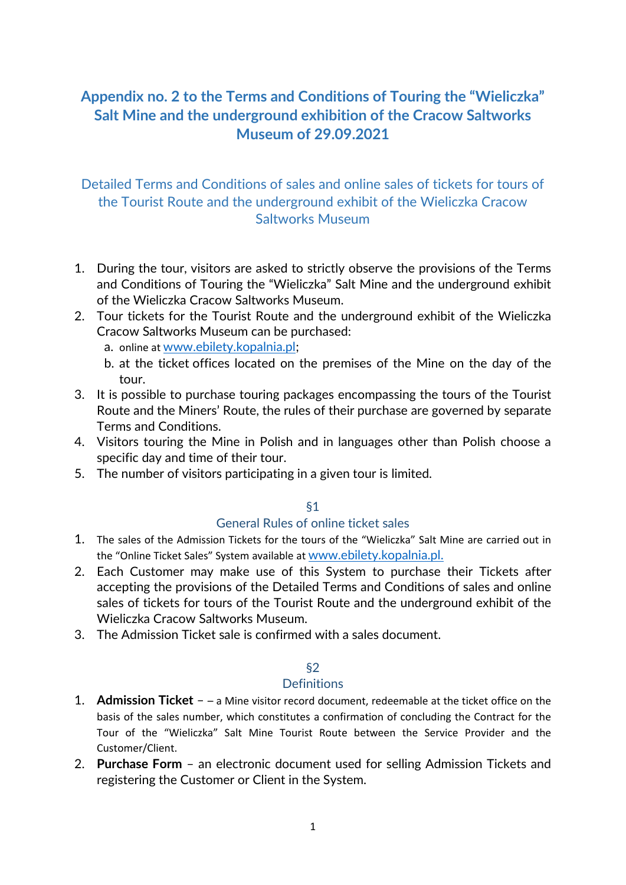# **Appendix no. 2 to the Terms and Conditions of Touring the "Wieliczka" Salt Mine and the underground exhibition of the Cracow Saltworks Museum of 29.09.2021**

## Detailed Terms and Conditions of sales and online sales of tickets for tours of the Tourist Route and the underground exhibit of the Wieliczka Cracow Saltworks Museum

- 1. During the tour, visitors are asked to strictly observe the provisions of the Terms and Conditions of Touring the "Wieliczka" Salt Mine and the underground exhibit of the Wieliczka Cracow Saltworks Museum.
- 2. Tour tickets for the Tourist Route and the underground exhibit of the Wieliczka Cracow Saltworks Museum can be purchased:
	- a. online at [www.ebilety.kopalnia.pl;](http://www.ebilety.kopalnia.pl/)
	- b. at the ticket offices located on the premises of the Mine on the day of the tour.
- 3. It is possible to purchase touring packages encompassing the tours of the Tourist Route and the Miners' Route, the rules of their purchase are governed by separate Terms and Conditions.
- 4. Visitors touring the Mine in Polish and in languages other than Polish choose a specific day and time of their tour.
- 5. The number of visitors participating in a given tour is limited.

#### §1

## General Rules of online ticket sales

- 1. The sales of the Admission Tickets for the tours of the "Wieliczka" Salt Mine are carried out in the "Online Ticket Sales" System available at [www.ebilety.kopalnia.pl.](http://www.ebilety.kopalnia.pl/)
- 2. Each Customer may make use of this System to purchase their Tickets after accepting the provisions of the Detailed Terms and Conditions of sales and online sales of tickets for tours of the Tourist Route and the underground exhibit of the Wieliczka Cracow Saltworks Museum.
- 3. The Admission Ticket sale is confirmed with a sales document.

## §2

#### **Definitions**

- 1. **Admission Ticket**  – a Mine visitor record document, redeemable at the ticket office on the basis of the sales number, which constitutes a confirmation of concluding the Contract for the Tour of the "Wieliczka" Salt Mine Tourist Route between the Service Provider and the Customer/Client.
- 2. **Purchase Form** an electronic document used for selling Admission Tickets and registering the Customer or Client in the System.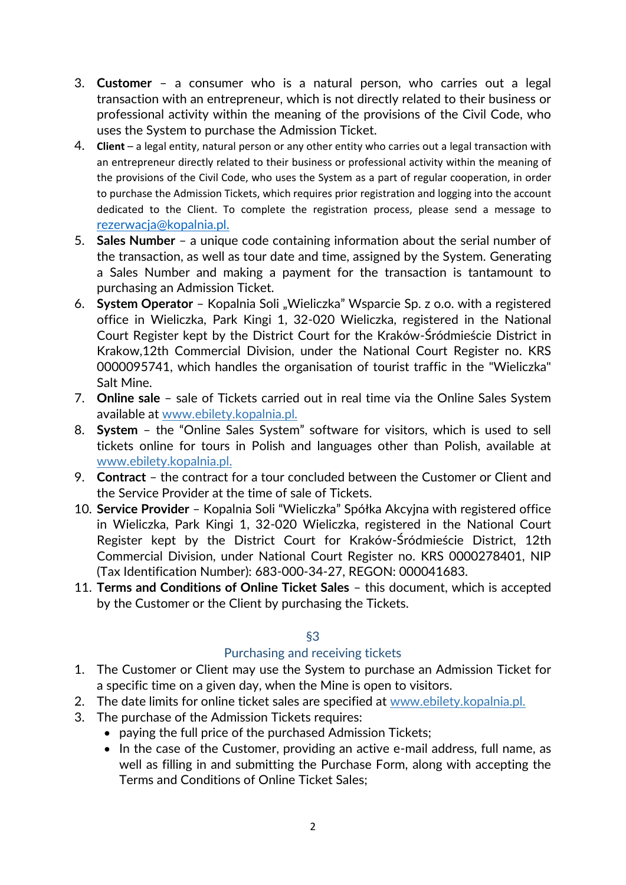- 3. **Customer** a consumer who is a natural person, who carries out a legal transaction with an entrepreneur, which is not directly related to their business or professional activity within the meaning of the provisions of the Civil Code, who uses the System to purchase the Admission Ticket.
- 4. **Client** a legal entity, natural person or any other entity who carries out a legal transaction with an entrepreneur directly related to their business or professional activity within the meaning of the provisions of the Civil Code, who uses the System as a part of regular cooperation, in order to purchase the Admission Tickets, which requires prior registration and logging into the account dedicated to the Client. To complete the registration process, please send a message to [rezerwacja@kopalnia.pl.](mailto:rezerwacja@kopalnia.pl)
- 5. **Sales Number** a unique code containing information about the serial number of the transaction, as well as tour date and time, assigned by the System. Generating a Sales Number and making a payment for the transaction is tantamount to purchasing an Admission Ticket.
- 6. **System Operator** Kopalnia Soli "Wieliczka" Wsparcie Sp. z o.o. with a registered office in Wieliczka, Park Kingi 1, 32-020 Wieliczka, registered in the National Court Register kept by the District Court for the Kraków-Śródmieście District in Krakow,12th Commercial Division, under the National Court Register no. KRS 0000095741, which handles the organisation of tourist traffic in the "Wieliczka" Salt Mine.
- 7. **Online sale** sale of Tickets carried out in real time via the Online Sales System available at www.ebilety.kopalnia.pl.
- 8. **System** the "Online Sales System" software for visitors, which is used to sell tickets online for tours in Polish and languages other than Polish, available at www.ebilety.kopalnia.pl.
- 9. **Contract** the contract for a tour concluded between the Customer or Client and the Service Provider at the time of sale of Tickets.
- 10. **Service Provider** Kopalnia Soli "Wieliczka" Spółka Akcyjna with registered office in Wieliczka, Park Kingi 1, 32-020 Wieliczka, registered in the National Court Register kept by the District Court for Kraków-Śródmieście District, 12th Commercial Division, under National Court Register no. KRS 0000278401, NIP (Tax Identification Number): 683-000-34-27, REGON: 000041683.
- 11. **Terms and Conditions of Online Ticket Sales** this document, which is accepted by the Customer or the Client by purchasing the Tickets.

## §3

## Purchasing and receiving tickets

- 1. The Customer or Client may use the System to purchase an Admission Ticket for a specific time on a given day, when the Mine is open to visitors.
- 2. The date limits for online ticket sales are specified at www.ebilety.kopalnia.pl.
- 3. The purchase of the Admission Tickets requires:
	- paying the full price of the purchased Admission Tickets;
	- In the case of the Customer, providing an active e-mail address, full name, as well as filling in and submitting the Purchase Form, along with accepting the Terms and Conditions of Online Ticket Sales;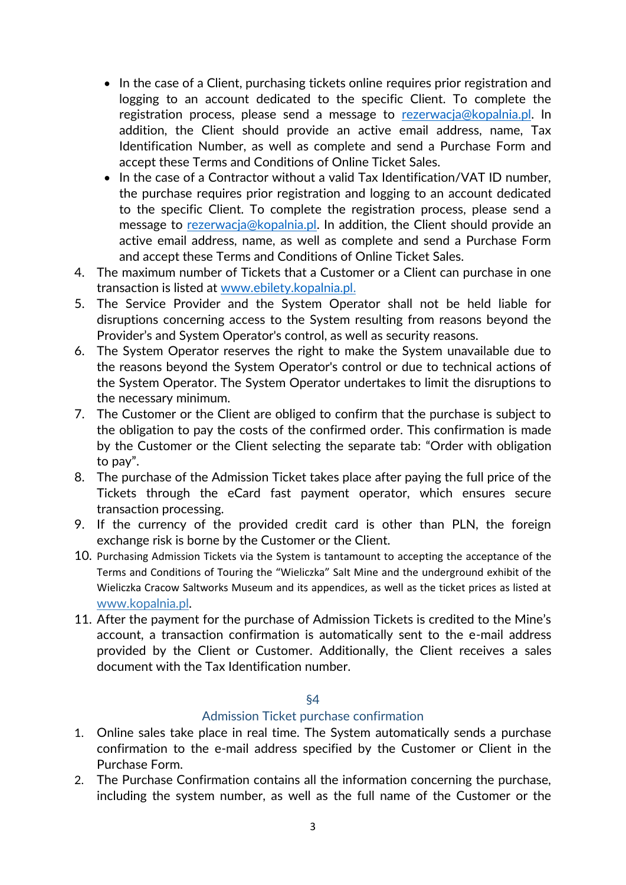- In the case of a Client, purchasing tickets online requires prior registration and logging to an account dedicated to the specific Client. To complete the registration process, please send a message to [rezerwacja@kopalnia.pl.](mailto:rezerwacja@kopalnia.pl) In addition, the Client should provide an active email address, name, Tax Identification Number, as well as complete and send a Purchase Form and accept these Terms and Conditions of Online Ticket Sales.
- In the case of a Contractor without a valid Tax Identification/VAT ID number, the purchase requires prior registration and logging to an account dedicated to the specific Client. To complete the registration process, please send a message to [rezerwacja@kopalnia.pl.](mailto:rezerwacja@kopalnia.pl) In addition, the Client should provide an active email address, name, as well as complete and send a Purchase Form and accept these Terms and Conditions of Online Ticket Sales.
- 4. The maximum number of Tickets that a Customer or a Client can purchase in one transaction is listed at [www.ebilety.kopalnia.pl.](http://www.ebilety.kopalnia.pl/)
- 5. The Service Provider and the System Operator shall not be held liable for disruptions concerning access to the System resulting from reasons beyond the Provider's and System Operator's control, as well as security reasons.
- 6. The System Operator reserves the right to make the System unavailable due to the reasons beyond the System Operator's control or due to technical actions of the System Operator. The System Operator undertakes to limit the disruptions to the necessary minimum.
- 7. The Customer or the Client are obliged to confirm that the purchase is subject to the obligation to pay the costs of the confirmed order. This confirmation is made by the Customer or the Client selecting the separate tab: "Order with obligation to pay".
- 8. The purchase of the Admission Ticket takes place after paying the full price of the Tickets through the eCard fast payment operator, which ensures secure transaction processing.
- 9. If the currency of the provided credit card is other than PLN, the foreign exchange risk is borne by the Customer or the Client.
- 10. Purchasing Admission Tickets via the System is tantamount to accepting the acceptance of the Terms and Conditions of Touring the "Wieliczka" Salt Mine and the underground exhibit of the Wieliczka Cracow Saltworks Museum and its appendices, as well as the ticket prices as listed at [www.kopalnia.pl.](http://www.kopalnia.pl/)
- 11. After the payment for the purchase of Admission Tickets is credited to the Mine's account, a transaction confirmation is automatically sent to the e-mail address provided by the Client or Customer. Additionally, the Client receives a sales document with the Tax Identification number.

#### §4

#### Admission Ticket purchase confirmation

- 1. Online sales take place in real time. The System automatically sends a purchase confirmation to the e-mail address specified by the Customer or Client in the Purchase Form.
- 2. The Purchase Confirmation contains all the information concerning the purchase, including the system number, as well as the full name of the Customer or the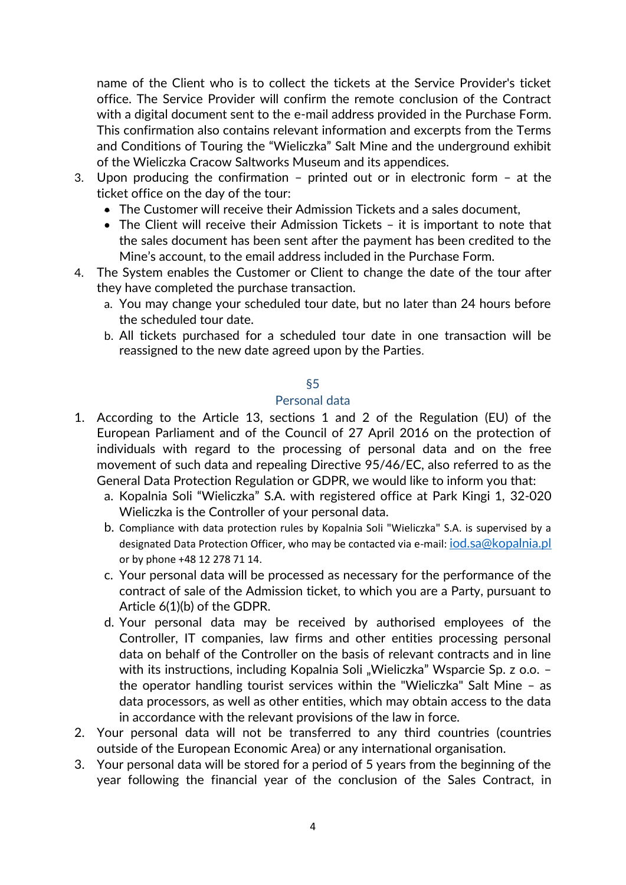name of the Client who is to collect the tickets at the Service Provider's ticket office. The Service Provider will confirm the remote conclusion of the Contract with a digital document sent to the e-mail address provided in the Purchase Form. This confirmation also contains relevant information and excerpts from the Terms and Conditions of Touring the "Wieliczka" Salt Mine and the underground exhibit of the Wieliczka Cracow Saltworks Museum and its appendices.

- 3. Upon producing the confirmation printed out or in electronic form at the ticket office on the day of the tour:
	- The Customer will receive their Admission Tickets and a sales document,
	- The Client will receive their Admission Tickets it is important to note that the sales document has been sent after the payment has been credited to the Mine's account, to the email address included in the Purchase Form.
- 4. The System enables the Customer or Client to change the date of the tour after they have completed the purchase transaction.
	- a. You may change your scheduled tour date, but no later than 24 hours before the scheduled tour date.
	- b. All tickets purchased for a scheduled tour date in one transaction will be reassigned to the new date agreed upon by the Parties.

#### §5

#### Personal data

- 1. According to the Article 13, sections 1 and 2 of the Regulation (EU) of the European Parliament and of the Council of 27 April 2016 on the protection of individuals with regard to the processing of personal data and on the free movement of such data and repealing Directive 95/46/EC, also referred to as the General Data Protection Regulation or GDPR, we would like to inform you that:
	- a. Kopalnia Soli "Wieliczka" S.A. with registered office at Park Kingi 1, 32-020 Wieliczka is the Controller of your personal data.
	- b. Compliance with data protection rules by Kopalnia Soli "Wieliczka" S.A. is supervised by a designated Data Protection Officer, who may be contacted via e-mail: *[iod.sa@kopalnia.pl](mailto:iod.sa@kopalnia.pl)* or by phone +48 12 278 71 14.
	- c. Your personal data will be processed as necessary for the performance of the contract of sale of the Admission ticket, to which you are a Party, pursuant to Article 6(1)(b) of the GDPR.
	- d. Your personal data may be received by authorised employees of the Controller, IT companies, law firms and other entities processing personal data on behalf of the Controller on the basis of relevant contracts and in line with its instructions, including Kopalnia Soli "Wieliczka" Wsparcie Sp. z o.o. the operator handling tourist services within the "Wieliczka" Salt Mine – as data processors, as well as other entities, which may obtain access to the data in accordance with the relevant provisions of the law in force.
- 2. Your personal data will not be transferred to any third countries (countries outside of the European Economic Area) or any international organisation.
- 3. Your personal data will be stored for a period of 5 years from the beginning of the year following the financial year of the conclusion of the Sales Contract, in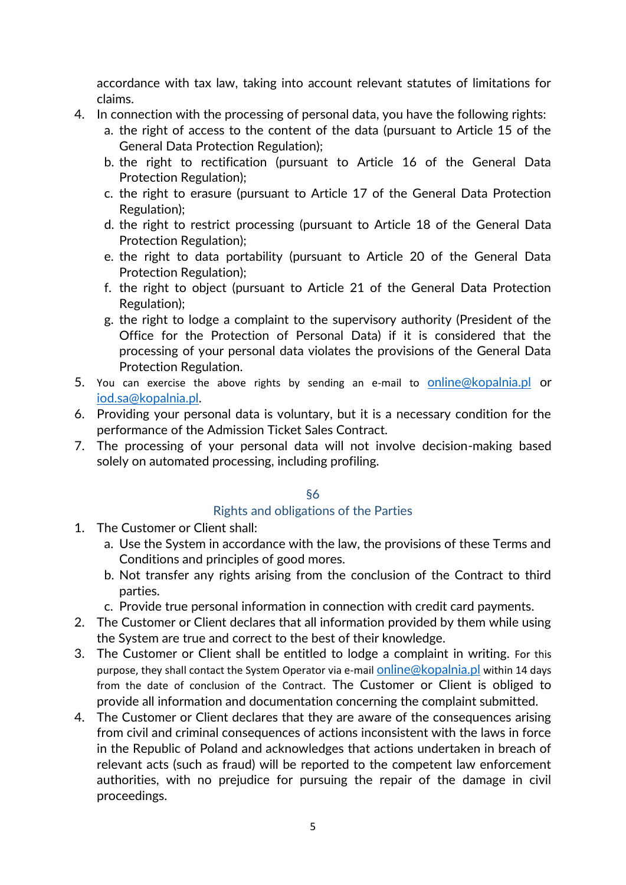accordance with tax law, taking into account relevant statutes of limitations for claims.

- 4. In connection with the processing of personal data, you have the following rights:
	- a. the right of access to the content of the data (pursuant to Article 15 of the General Data Protection Regulation);
	- b. the right to rectification (pursuant to Article 16 of the General Data Protection Regulation);
	- c. the right to erasure (pursuant to Article 17 of the General Data Protection Regulation);
	- d. the right to restrict processing (pursuant to Article 18 of the General Data Protection Regulation);
	- e. the right to data portability (pursuant to Article 20 of the General Data Protection Regulation);
	- f. the right to object (pursuant to Article 21 of the General Data Protection Regulation);
	- g. the right to lodge a complaint to the supervisory authority (President of the Office for the Protection of Personal Data) if it is considered that the processing of your personal data violates the provisions of the General Data Protection Regulation.
- 5. You can exercise the above rights by sending an e-mail to [online@kopalnia.pl](mailto:online@kopalnia.pl) or [iod.sa@kopalnia.pl.](mailto:iod.sa@kopalnia.pl)
- 6. Providing your personal data is voluntary, but it is a necessary condition for the performance of the Admission Ticket Sales Contract.
- 7. The processing of your personal data will not involve decision-making based solely on automated processing, including profiling.

## §6

## Rights and obligations of the Parties

- 1. The Customer or Client shall:
	- a. Use the System in accordance with the law, the provisions of these Terms and Conditions and principles of good mores.
	- b. Not transfer any rights arising from the conclusion of the Contract to third parties.
	- c. Provide true personal information in connection with credit card payments.
- 2. The Customer or Client declares that all information provided by them while using the System are true and correct to the best of their knowledge.
- 3. The Customer or Client shall be entitled to lodge a complaint in writing. For this purpose, they shall contact the System Operator via e-mail **[online@kopalnia.pl](mailto:online@kopalnia.pl)** within 14 days from the date of conclusion of the Contract. The Customer or Client is obliged to provide all information and documentation concerning the complaint submitted.
- 4. The Customer or Client declares that they are aware of the consequences arising from civil and criminal consequences of actions inconsistent with the laws in force in the Republic of Poland and acknowledges that actions undertaken in breach of relevant acts (such as fraud) will be reported to the competent law enforcement authorities, with no prejudice for pursuing the repair of the damage in civil proceedings.